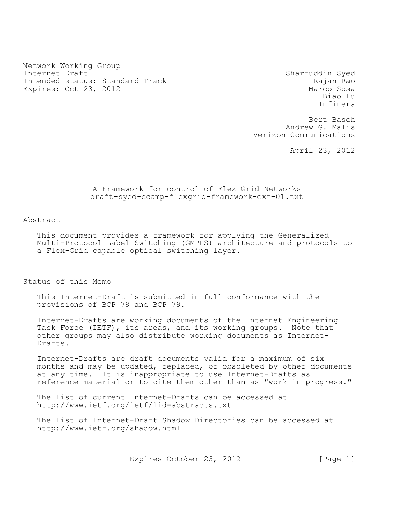Network Working Group Internet Draft Sharfuddin Syed Intended status: Standard Track Rajan Rao Expires: Oct 23, 2012 Marco Sosa

Biao Lu Infinera

Bert Basch Andrew G. Malis Verizon Communications

April 23, 2012

### A Framework for control of Flex Grid Networks draft-syed-ccamp-flexgrid-framework-ext-01.txt

Abstract

This document provides a framework for applying the Generalized Multi-Protocol Label Switching (GMPLS) architecture and protocols to a Flex-Grid capable optical switching layer.

Status of this Memo

This Internet-Draft is submitted in full conformance with the provisions of BCP 78 and BCP 79.

Internet-Drafts are working documents of the Internet Engineering Task Force (IETF), its areas, and its working groups. Note that other groups may also distribute working documents as Internet-Drafts.

Internet-Drafts are draft documents valid for a maximum of six months and may be updated, replaced, or obsoleted by other documents at any time. It is inappropriate to use Internet-Drafts as reference material or to cite them other than as "work in progress."

The list of current Internet-Drafts can be accessed at http://www.ietf.org/ietf/1id-abstracts.txt

The list of Internet-Draft Shadow Directories can be accessed at http://www.ietf.org/shadow.html

Expires October 23, 2012 [Page 1]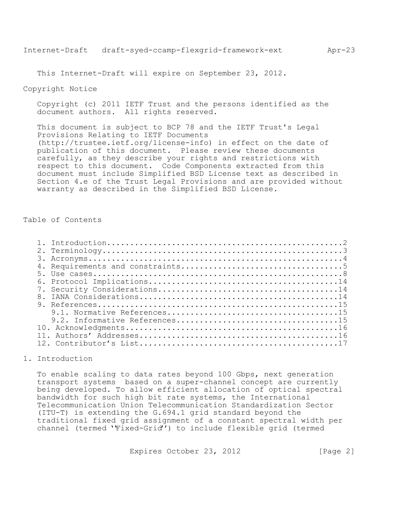This Internet-Draft will expire on September 23, 2012.

### Copyright Notice

Copyright (c) 2011 IETF Trust and the persons identified as the document authors. All rights reserved.

This document is subject to [BCP 78](http://tools.ietf.org/html/bcp78) and the IETF Trust's Legal Provisions Relating to IETF Documents [\(http://trustee.ietf.org/license-info\)](http://trustee.ietf.org/license-info) in effect on the date of publication of this document. Please review these documents carefully, as they describe your rights and restrictions with respect to this document. Code Components extracted from this document must include Simplified BSD License text as described in [Section 4.](http://tools.ietf.org/html/draft-li-ccamp-flexible-grid-label-00#section-4)e of the Trust Legal Provisions and are provided without warranty as described in the Simplified BSD License.

## Table of Contents

| 2.1            |  |
|----------------|--|
|                |  |
|                |  |
|                |  |
|                |  |
|                |  |
| 8 <sub>1</sub> |  |
|                |  |
|                |  |
|                |  |
|                |  |
|                |  |
|                |  |

# <span id="page-1-0"></span>1. Introduction

To enable scaling to data rates beyond 100 Gbps, next generation transport systems based on a super-channel concept are currently being developed. To allow efficient allocation of optical spectral bandwidth for such high bit rate systems, the International Telecommunication Union Telecommunication Standardization Sector (ITU-T) is extending the G.694.1 grid standard beyond the traditional fixed grid assignment of a constant spectral width per channel (termed ''Fixed-Grid'') to include flexible grid (termed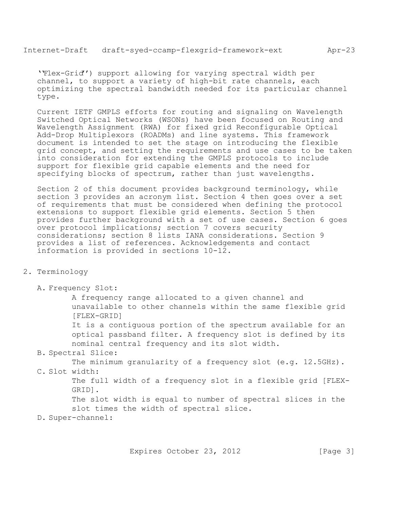''Flex-Grid'') support allowing for varying spectral width per channel, to support a variety of high-bit rate channels, each optimizing the spectral bandwidth needed for its particular channel type.

Current IETF GMPLS efforts for routing and signaling on Wavelength Switched Optical Networks (WSONs) have been focused on Routing and Wavelength Assignment (RWA) for fixed grid Reconfigurable Optical Add-Drop Multiplexors (ROADMs) and line systems. This framework document is intended to set the stage on introducing the flexible grid concept, and setting the requirements and use cases to be taken into consideration for extending the GMPLS protocols to include support for flexible grid capable elements and the need for specifying blocks of spectrum, rather than just wavelengths.

Section 2 of this document provides background terminology, while section 3 provides an acronym list. Section 4 then goes over a set of requirements that must be considered when defining the protocol extensions to support flexible grid elements. Section 5 then provides further background with a set of use cases. Section 6 goes over protocol implications; section 7 covers security considerations; section 8 lists IANA considerations. Section 9 provides a list of references. Acknowledgements and contact information is provided in sections 10-12.

- <span id="page-2-0"></span>2. Terminology
	- A. Frequency Slot:

A frequency range allocated to a given channel and unavailable to other channels within the same flexible grid [FLEX-GRID]

It is a contiguous portion of the spectrum available for an optical passband filter. A frequency slot is defined by its nominal central frequency and its slot width.

B. Spectral Slice:

The minimum granularity of a frequency slot (e.g. 12.5GHz).

C. Slot width:

The full width of a frequency slot in a flexible grid [FLEX-GRID].

The slot width is equal to number of spectral slices in the slot times the width of spectral slice.

D. Super-channel: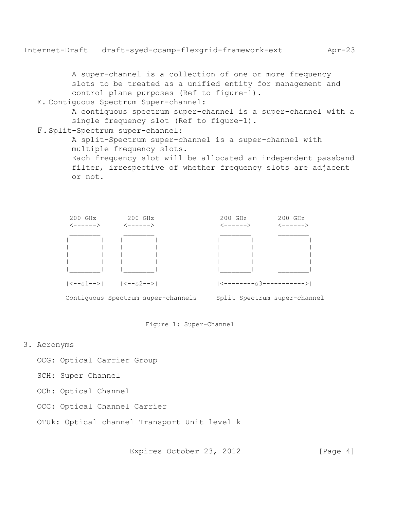A super-channel is a collection of one or more frequency slots to be treated as a unified entity for management and control plane purposes (Ref to figure-1).

#### E. Contiguous Spectrum Super-channel:

A contiguous spectrum super-channel is a super-channel with a single frequency slot (Ref to figure-1).

### F.Split-Spectrum super-channel:

A split-Spectrum super-channel is a super-channel with multiple frequency slots. Each frequency slot will be allocated an independent passband

filter, irrespective of whether frequency slots are adjacent or not.





## <span id="page-3-0"></span>3. Acronyms

OCG: Optical Carrier Group

SCH: Super Channel

OCh: Optical Channel

OCC: Optical Channel Carrier

OTUk: Optical channel Transport Unit level k

Expires October 23, 2012 [Page 4]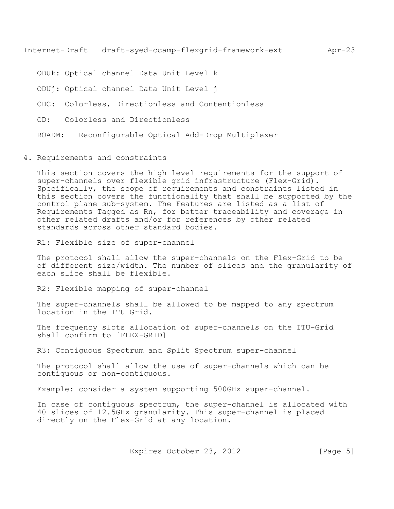Internet-Draft draft-syed-ccamp-flexgrid-framework-ext Apr-23

ODUk: Optical channel Data Unit Level k

ODUj: Optical channel Data Unit Level j

CDC: Colorless, Directionless and Contentionless

CD: Colorless and Directionless

ROADM: Reconfigurable Optical Add-Drop Multiplexer

<span id="page-4-0"></span>4. Requirements and constraints

This section covers the high level requirements for the support of super-channels over flexible grid infrastructure (Flex-Grid). Specifically, the scope of requirements and constraints listed in this section covers the functionality that shall be supported by the control plane sub-system. The Features are listed as a list of Requirements Tagged as Rn, for better traceability and coverage in other related drafts and/or for references by other related standards across other standard bodies.

R1: Flexible size of super-channel

The protocol shall allow the super-channels on the Flex-Grid to be of different size/width. The number of slices and the granularity of each slice shall be flexible.

R2: Flexible mapping of super-channel

The super-channels shall be allowed to be mapped to any spectrum location in the ITU Grid.

The frequency slots allocation of super-channels on the ITU-Grid shall confirm to [FLEX-GRID]

R3: Contiguous Spectrum and Split Spectrum super-channel

The protocol shall allow the use of super-channels which can be contiguous or non-contiguous.

Example: consider a system supporting 500GHz super-channel.

In case of contiguous spectrum, the super-channel is allocated with 40 slices of 12.5GHz granularity. This super-channel is placed directly on the Flex-Grid at any location.

Expires October 23, 2012 [Page 5]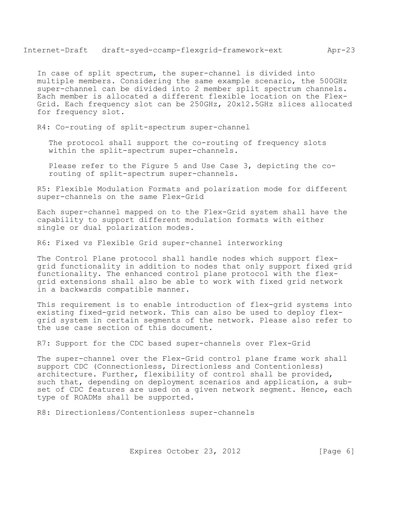In case of split spectrum, the super-channel is divided into multiple members. Considering the same example scenario, the 500GHz super-channel can be divided into 2 member split spectrum channels. Each member is allocated a different flexible location on the Flex-Grid. Each frequency slot can be 250GHz, 20x12.5GHz slices allocated for frequency slot.

R4: Co-routing of split-spectrum super-channel

The protocol shall support the co-routing of frequency slots within the split-spectrum super-channels.

Please refer to the Figure 5 and Use Case 3, depicting the corouting of split-spectrum super-channels.

R5: Flexible Modulation Formats and polarization mode for different super-channels on the same Flex-Grid

Each super-channel mapped on to the Flex-Grid system shall have the capability to support different modulation formats with either single or dual polarization modes.

R6: Fixed vs Flexible Grid super-channel interworking

The Control Plane protocol shall handle nodes which support flexgrid functionality in addition to nodes that only support fixed grid functionality. The enhanced control plane protocol with the flexgrid extensions shall also be able to work with fixed grid network in a backwards compatible manner.

This requirement is to enable introduction of flex-grid systems into existing fixed-grid network. This can also be used to deploy flexgrid system in certain segments of the network. Please also refer to the use case section of this document.

R7: Support for the CDC based super-channels over Flex-Grid

The super-channel over the Flex-Grid control plane frame work shall support CDC (Connectionless, Directionless and Contentionless) architecture. Further, flexibility of control shall be provided, such that, depending on deployment scenarios and application, a subset of CDC features are used on a given network segment. Hence, each type of ROADMs shall be supported.

R8: Directionless/Contentionless super-channels

Expires October 23, 2012 [Page 6]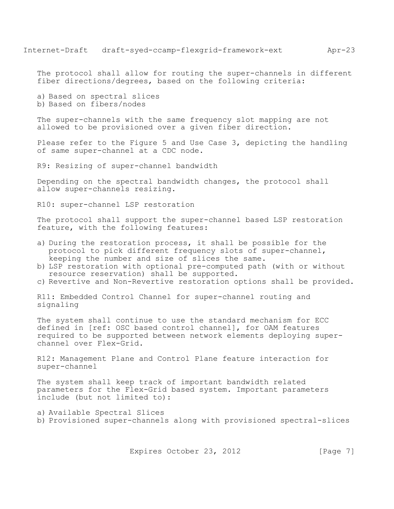The protocol shall allow for routing the super-channels in different fiber directions/degrees, based on the following criteria:

a) Based on spectral slices

b) Based on fibers/nodes

The super-channels with the same frequency slot mapping are not allowed to be provisioned over a given fiber direction.

Please refer to the Figure 5 and Use Case 3, depicting the handling of same super-channel at a CDC node.

R9: Resizing of super-channel bandwidth

Depending on the spectral bandwidth changes, the protocol shall allow super-channels resizing.

R10: super-channel LSP restoration

The protocol shall support the super-channel based LSP restoration feature, with the following features:

- a) During the restoration process, it shall be possible for the protocol to pick different frequency slots of super-channel, keeping the number and size of slices the same.
- b) LSP restoration with optional pre-computed path (with or without resource reservation) shall be supported.
- c) Revertive and Non-Revertive restoration options shall be provided.

R11: Embedded Control Channel for super-channel routing and signaling

The system shall continue to use the standard mechanism for ECC defined in [ref: OSC based control channel], for OAM features required to be supported between network elements deploying superchannel over Flex-Grid.

R12: Management Plane and Control Plane feature interaction for super-channel

The system shall keep track of important bandwidth related parameters for the Flex-Grid based system. Important parameters include (but not limited to):

a) Available Spectral Slices b) Provisioned super-channels along with provisioned spectral-slices

Expires October 23, 2012 [Page 7]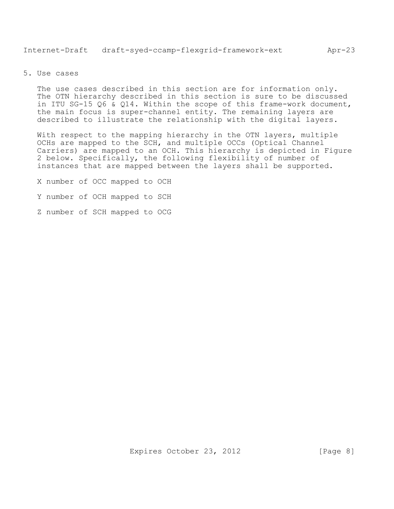<span id="page-7-0"></span>The use cases described in this section are for information only. The OTN hierarchy described in this section is sure to be discussed in ITU SG-15 Q6 & Q14. Within the scope of this frame-work document, the main focus is super-channel entity. The remaining layers are described to illustrate the relationship with the digital layers.

With respect to the mapping hierarchy in the OTN layers, multiple OCHs are mapped to the SCH, and multiple OCCs (Optical Channel Carriers) are mapped to an OCH. This hierarchy is depicted in Figure 2 below. Specifically, the following flexibility of number of instances that are mapped between the layers shall be supported.

X number of OCC mapped to OCH

- Y number of OCH mapped to SCH
- Z number of SCH mapped to OCG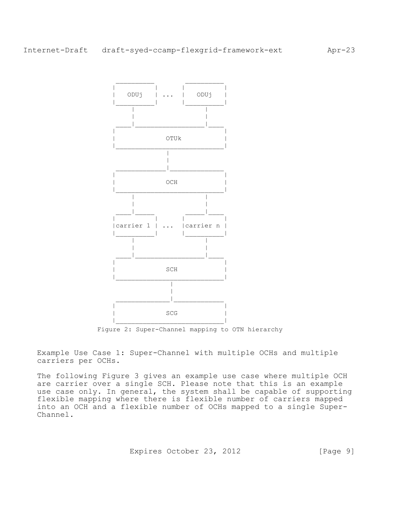

Figure 2: Super-Channel mapping to OTN hierarchy

Example Use Case 1: Super-Channel with multiple OCHs and multiple carriers per OCHs.

The following Figure 3 gives an example use case where multiple OCH are carrier over a single SCH. Please note that this is an example use case only. In general, the system shall be capable of supporting flexible mapping where there is flexible number of carriers mapped into an OCH and a flexible number of OCHs mapped to a single Super-Channel.

Expires October 23, 2012 [Page 9]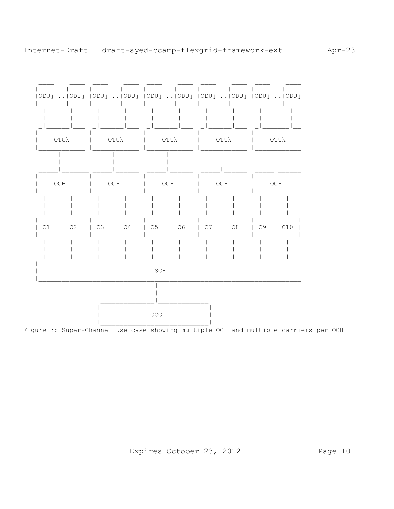

Figure 3: Super-Channel use case showing multiple OCH and multiple carriers per OCH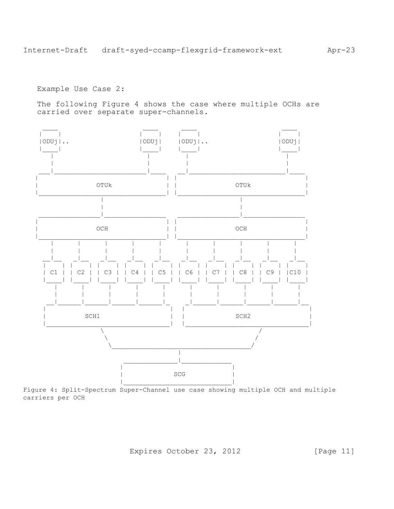Example Use Case 2:

The following Figure 4 shows the case where multiple OCHs are carried over separate super-channels.



Figure 4: Split-Spectrum Super-Channel use case showing multiple OCH and multiple carriers per OCH

Expires October 23, 2012

[Page 11]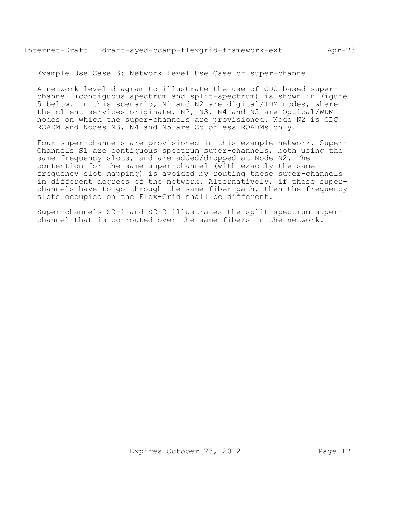Example Use Case 3: Network Level Use Case of super-channel

A network level diagram to illustrate the use of CDC based superchannel (contiguous spectrum and split-spectrum) is shown in Figure 5 below. In this scenario, N1 and N2 are digital/TDM nodes, where the client services originate. N2, N3, N4 and N5 are Optical/WDM nodes on which the super-channels are provisioned. Node N2 is CDC ROADM and Nodes N3, N4 and N5 are Colorless ROADMs only.

Four super-channels are provisioned in this example network. Super-Channels S1 are contiguous spectrum super-channels, both using the same frequency slots, and are added/dropped at Node N2. The contention for the same super-channel (with exactly the same frequency slot mapping) is avoided by routing these super-channels in different degrees of the network. Alternatively, if these superchannels have to go through the same fiber path, then the frequency slots occupied on the Flex-Grid shall be different.

Super-channels S2-1 and S2-2 illustrates the split-spectrum superchannel that is co-routed over the same fibers in the network.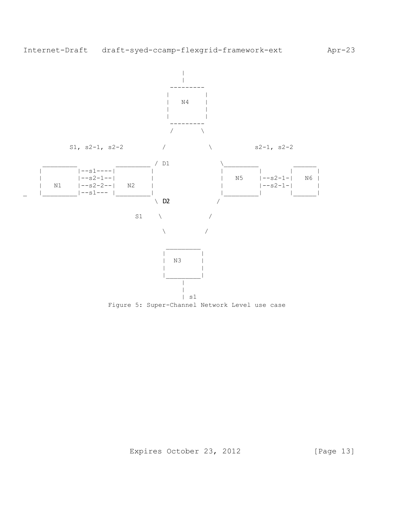

Figure 5: Super-Channel Network Level use case

Expires October 23, 2012 [Page 13]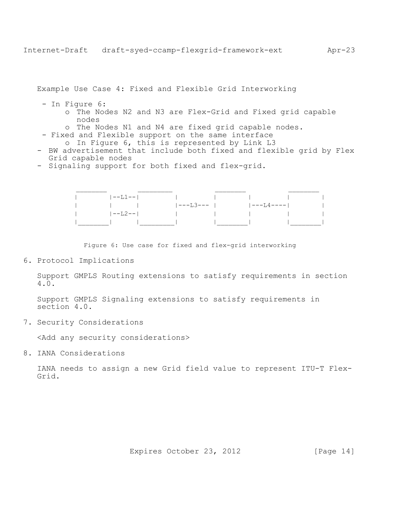Example Use Case 4: Fixed and Flexible Grid Interworking

- In Figure 6:
	- o The Nodes N2 and N3 are Flex-Grid and Fixed grid capable nodes
	- o The Nodes N1 and N4 are fixed grid capable nodes.
	- Fixed and Flexible support on the same interface
		- o In Figure 6, this is represented by Link L3
- BW advertisement that include both fixed and flexible grid by Flex Grid capable nodes
- Signaling support for both fixed and flex-grid.



Figure 6: Use case for fixed and flex-grid interworking

<span id="page-13-0"></span>6. Protocol Implications

Support GMPLS Routing extensions to satisfy requirements in section 4.0.

Support GMPLS Signaling extensions to satisfy requirements in section 4.0.

<span id="page-13-1"></span>7. Security Considerations

<Add any security considerations>

<span id="page-13-2"></span>8. IANA Considerations

IANA needs to assign a new Grid field value to represent ITU-T Flex-Grid.

Expires October 23, 2012 [Page 14]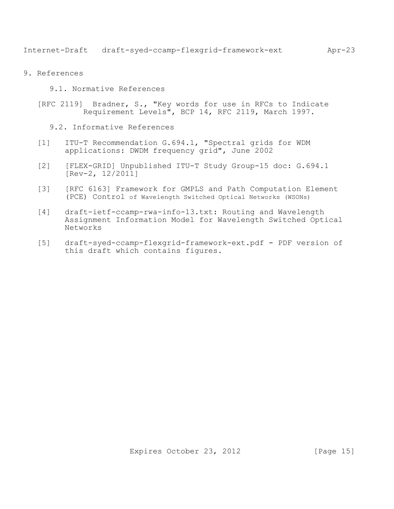- <span id="page-14-2"></span><span id="page-14-1"></span><span id="page-14-0"></span>9. References
	- 9.1. Normative References
	- [RFC 2119] Bradner, S., "Key words for use in RFCs to Indicate Requirement Levels", BCP 14, RFC 2119, March 1997.
		- 9.2. Informative References
	- [1] ITU-T Recommendation G.694.1, "Spectral grids for WDM applications: DWDM frequency grid", June 2002
	- [2] [FLEX-GRID] Unpublished ITU-T Study Group-15 doc: G.694.1 [Rev-2, 12/2011]
	- [3] [RFC 6163] Framework for GMPLS and Path Computation Element (PCE) Control of Wavelength Switched Optical Networks (WSONs)
	- [4] draft-ietf-ccamp-rwa-info-13.txt: Routing and Wavelength Assignment Information Model for Wavelength Switched Optical Networks
	- [5] draft-syed-ccamp-flexgrid-framework-ext.pdf PDF version of this draft which contains figures.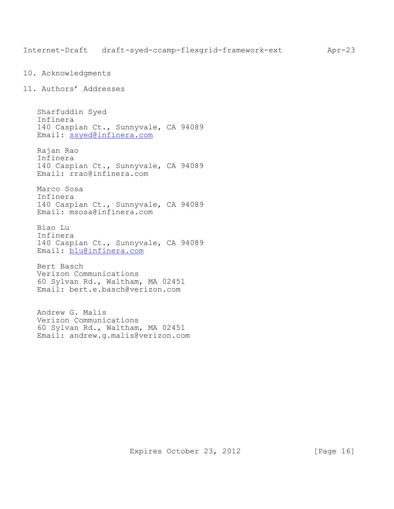```
10. Acknowledgments
```
<span id="page-15-1"></span>11. Authors' Addresses

Sharfuddin Syed Infinera 140 Caspian Ct., Sunnyvale, CA 94089 Email: [ssyed@infinera.com](mailto:ssyed@infinera.com)

Rajan Rao Infinera 140 Caspian Ct., Sunnyvale, CA 94089 Email: [rrao@infinera.com](mailto:rrao@infinera.com)

Marco Sosa Infinera 140 Caspian Ct., Sunnyvale, CA 94089 Email: [msosa@infinera.com](mailto:msosa@infinera.com)

Biao Lu Infinera 140 Caspian Ct., Sunnyvale, CA 94089 Email: [blu@infinera.com](mailto:blu@infinera.com)

Bert Basch Verizon Communications 60 Sylvan Rd., Waltham, MA 02451 Email: bert.e.basch@verizon.com

Andrew G. Malis Verizon Communications 60 Sylvan Rd., Waltham, MA 02451 Email: andrew.g.malis@verizon.com